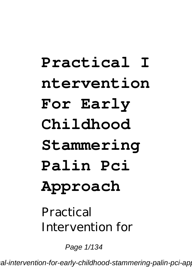## **Practical I ntervention For Early Childhood Stammering Palin Pci Approach** Practical

Intervention for

Page 1/134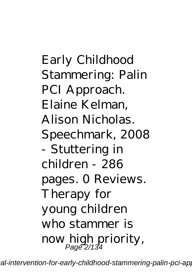Early Childhood Stammering: Palin PCI Approach. Elaine Kelman, Alison Nicholas. Speechmark, 2008 - Stuttering in children - 286 pages. 0 Reviews. Therapy for young children who stammer is now high priority, Page 2/134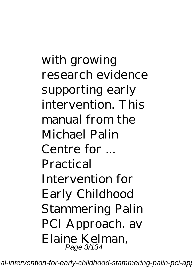with growing research evidence supporting early intervention. This manual from the Michael Palin Centre for ... Practical Intervention for Early Childhood Stammering Palin PCI Approach. av Elaine Kelman, Page 3/134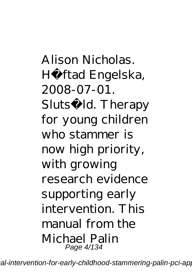Alison Nicholas. Hä ftad Engelska, 2008-07-01. Slutså ld. Therapy for young children who stammer is now high priority, with growing research evidence supporting early intervention. This manual from the Michael Palin Page 4/134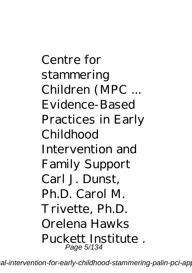Centre for stammering Children (MPC ... Evidence-Based Practices in Early Childhood Intervention and Family Support Carl J. Dunst, Ph.D. Carol M. Trivette, Ph.D. Orelena Hawks Puckett Institute . Page 5/134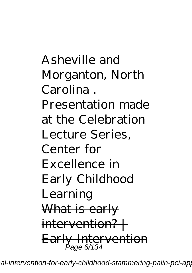Asheville and Morganton, North Carolina . Presentation made at the Celebration Lecture Series, Center for Excellence in Early Childhood Learning What is early  $intervention? +$ Early Intervention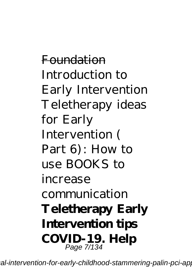Foundation *Introduction to Early Intervention Teletherapy ideas for Early Intervention ( Part 6): How to use BOOKS to increase communication* **Teletherapy Early Intervention tips COVID-19. Help** Page 7/134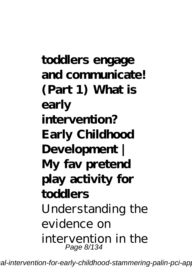**toddlers engage and communicate! (Part 1) What is early intervention? Early Childhood Development | My fav pretend play activity for toddlers** Understanding the evidence on intervention in the Page 8/134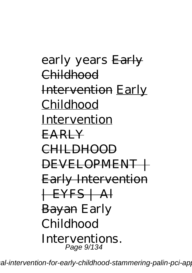early years Early Childhood Intervention Early Childhood Intervention EARLY CHILDHOOD DEVELOPMENT + Early Intervention  $+$ EYFS  $+$  Al Bayan Early Childhood Interventions. Page 9/134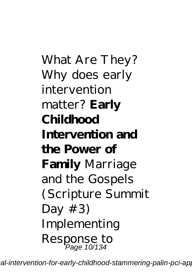What Are They? *Why does early intervention matter?* **Early Childhood Intervention and the Power of Family** Marriage and the Gospels (Scripture Summit Day  $#3$ *Implementing Response to* Page 10/134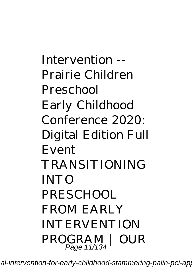*Intervention -- Prairie Children Preschool* Early Childhood Conference 2020: Digital Edition Full Event *TRANSITIONING INTO PRESCHOOL FROM EARLY INTERVENTION PROGRAM* | *OUR*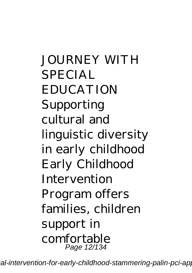*JOURNEY WITH SPECIAL EDUCATION Supporting cultural and linguistic diversity in early childhood Early Childhood Intervention Program offers families, children support in comfortable* Page 12/134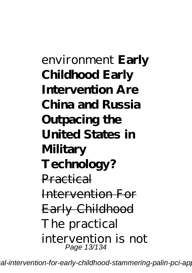*environment* **Early Childhood Early Intervention Are China and Russia Outpacing the United States in Military Technology?** Practical Intervention For Early Childhood The practical intervention is not Page 13/134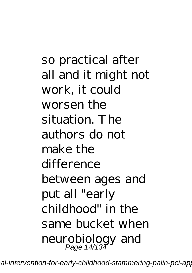so practical after all and it might not work, it could worsen the situation. The authors do not make the difference between ages and put all "early childhood" in the same bucket when neurobiology and Page 14/134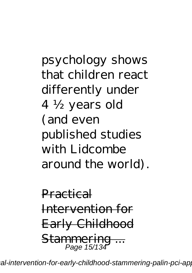psychology shows that children react differently under 4 ½ years old (and even published studies with Lidcombe around the world).

Practical Intervention for Early Childhood Stammering ... Page 15/134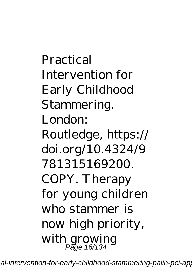Practical Intervention for Early Childhood Stammering. London: Routledge, https:// doi.org/10.4324/9 781315169200. COPY. Therapy for young children who stammer is now high priority, with growing Page 16/134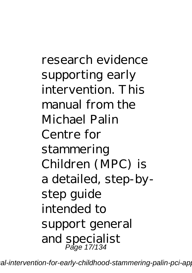research evidence supporting early intervention. This manual from the Michael Palin Centre for stammering Children (MPC) is a detailed, step-bystep guide intended to support general and specialist Page 17/134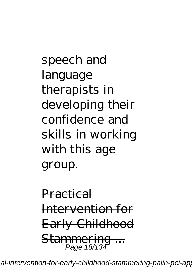speech and language therapists in developing their confidence and skills in working with this age group.

Practical Intervention for Early Childhood Stammering ... Page 18/134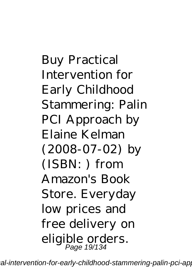Buy Practical Intervention for Early Childhood Stammering: Palin PCI Approach by Elaine Kelman (2008-07-02) by (ISBN: ) from Amazon's Book Store. Everyday low prices and free delivery on eligible orders. Page 19/134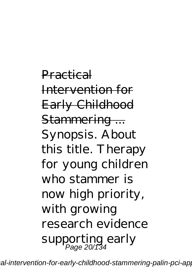Practical Intervention for Early Childhood Stammering ... Synopsis. About this title. Therapy for young children who stammer is now high priority, with growing research evidence supporting early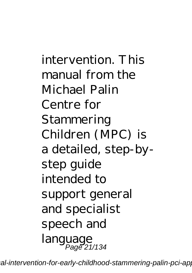intervention. This manual from the Michael Palin Centre for Stammering Children (MPC) is a detailed, step-bystep guide intended to support general and specialist speech and language Page 21/134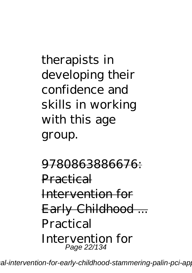therapists in developing their confidence and skills in working with this age group.

9780863886676: Practical Intervention for Early Childhood ... Practical Intervention for Page 22/134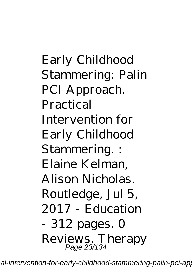Early Childhood Stammering: Palin PCI Approach. Practical Intervention for Early Childhood Stammering. : Elaine Kelman, Alison Nicholas. Routledge, Jul 5, 2017 - Education - 312 pages. 0 Reviews. Therapy Page 23/134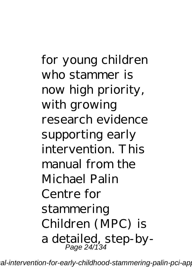for young children who stammer is now high priority, with growing research evidence supporting early intervention. This manual from the Michael Palin Centre for stammering Children (MPC) is a detailed, step-by-Page 24/134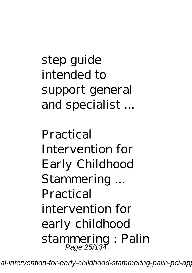step guide intended to support general and specialist ...

Practical Intervention for Early Childhood Stammering ... Practical intervention for early childhood stammering : Palin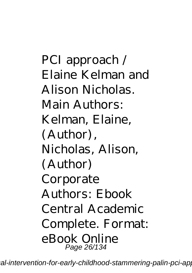PCI approach / Elaine Kelman and Alison Nicholas. Main Authors: Kelman, Elaine, (Author), Nicholas, Alison, (Author) Corporate Authors: Ebook Central Academic Complete. Format: eBook Online Page 26/134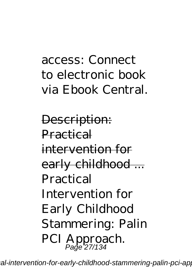## access: Connect to electronic book via Ebook Central.

Description: Practical intervention for early childhood ... Practical Intervention for Early Childhood Stammering: Palin PCI Approach.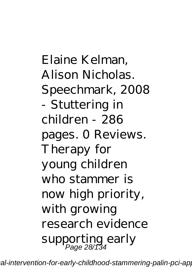Elaine Kelman, Alison Nicholas. Speechmark, 2008 - Stuttering in children - 286 pages. 0 Reviews. Therapy for young children who stammer is now high priority, with growing research evidence supporting early Page 28/134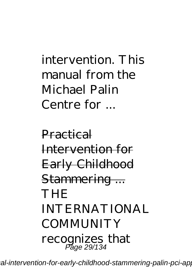## intervention. This manual from the Michael Palin Centre for ...

Practical Intervention for Early Childhood Stammering ... **THE** INTERNATIONAL **COMMUNITY** recognizes that Page 29/134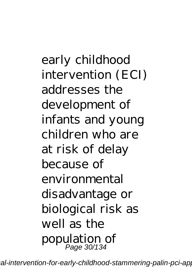early childhood intervention (ECI) addresses the development of infants and young children who are at risk of delay because of environmental disadvantage or biological risk as well as the population of Page 30/134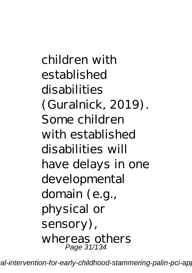children with established disabilities (Guralnick, 2019). Some children with established disabilities will have delays in one developmental domain (e.g., physical or sensory), whereas others Page 31/134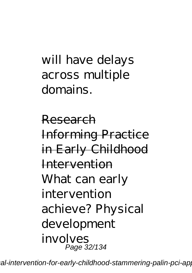will have delays across multiple domains.

Research Informing Practice in Early Childhood Intervention What can early intervention achieve? Physical development involves Page 32/134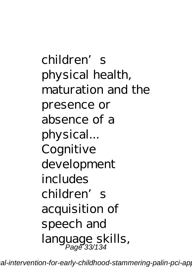children's physical health, maturation and the presence or absence of a physical... Cognitive development includes children's acquisition of speech and language skills, Page 33/134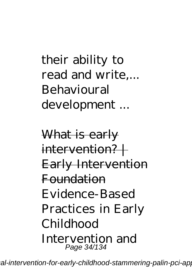their ability to read and write,... Behavioural development ...

What is early  $intervention? +$ Early Intervention Foundation Evidence-Based Practices in Early Childhood Intervention and Page 34/134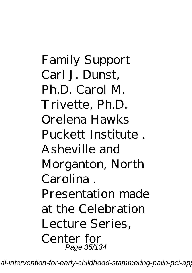Family Support Carl J. Dunst, Ph.D. Carol M. Trivette, Ph.D. Orelena Hawks Puckett Institute . Asheville and Morganton, North Carolina . Presentation made at the Celebration Lecture Series, Center for Page 35/134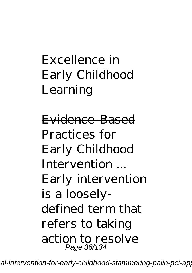## Excellence in Early Childhood Learning

Evidence-Based Practices for Early Childhood Intervention ... Early intervention is a looselydefined term that refers to taking action to resolve Page 36/134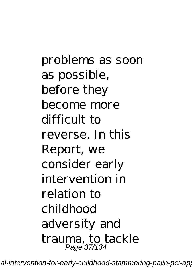problems as soon as possible, before they become more difficult to reverse. In this Report, we consider early intervention in relation to childhood adversity and trauma, to tackle Page 37/134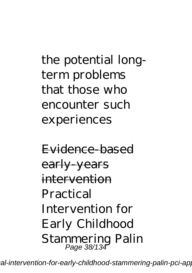the potential longterm problems that those who encounter such experiences

Evidence-based early-years intervention Practical Intervention for Early Childhood Stammering Palin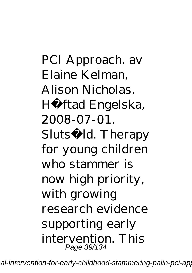PCI Approach. av Elaine Kelman, Alison Nicholas. Hä ftad Engelska, 2008-07-01. Slutså ld. Therapy for young children who stammer is now high priority, with growing research evidence supporting early intervention. This Page 39/134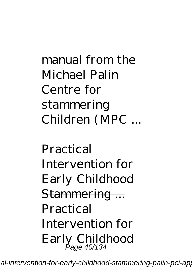manual from the Michael Palin Centre for stammering Children (MPC ...

Practical Intervention for Early Childhood Stammering ... Practical Intervention for Early Childhood Page 40/134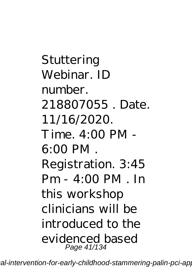Stuttering Webinar. ID number. 218807055 . Date. 11/16/2020.  $Time 4:00 PM -$ 6:00 PM . Registration. 3:45 Pm - 4:00 PM . In this workshop clinicians will be introduced to the evidenced based Page 41/134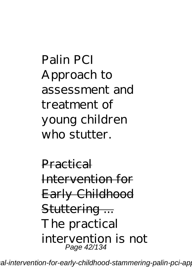Palin PCI Approach to assessment and treatment of young children who stutter.

Practical Intervention for Early Childhood Stuttering ... The practical intervention is not Page 42/134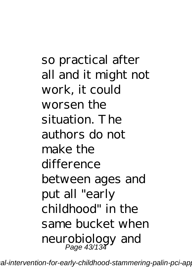so practical after all and it might not work, it could worsen the situation. The authors do not make the difference between ages and put all "early childhood" in the same bucket when neurobiology and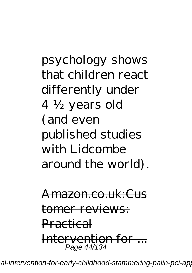psychology shows that children react differently under 4 ½ years old (and even published studies with Lidcombe around the world).

Amazon.co.uk:Cus tomer reviews: Practical Intervention for ... Page 44/134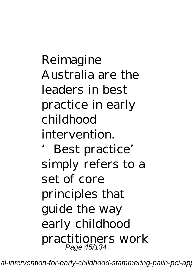Reimagine Australia are the leaders in best practice in early childhood intervention.

'Best practice' simply refers to a set of core principles that guide the way early childhood practitioners work Page 45/134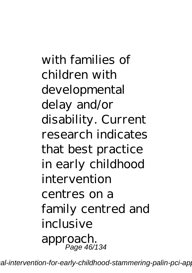with families of children with developmental delay and/or disability. Current research indicates that best practice in early childhood intervention centres on a family centred and inclusive approach. Page 46/134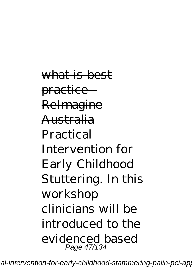what is best practice - ReImagine Australia Practical Intervention for Early Childhood Stuttering. In this workshop clinicians will be introduced to the evidenced based Page 47/134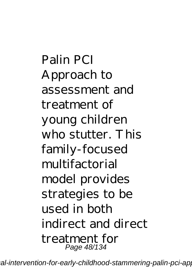Palin PCI Approach to assessment and treatment of young children who stutter. This family-focused multifactorial model provides strategies to be used in both indirect and direct treatment for Page 48/134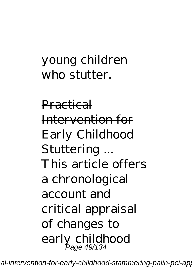## young children who stutter.

Practical Intervention for Early Childhood Stuttering ... This article offers a chronological account and critical appraisal of changes to early childhood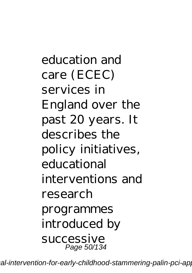education and care (ECEC) services in England over the past 20 years. It describes the policy initiatives, educational interventions and research programmes introduced by successive Page 50/134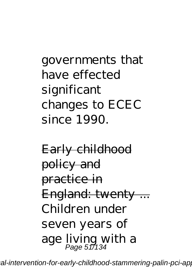governments that have effected significant changes to ECEC since 1990.

Early childhood policy and practice in England: twenty ... Children under seven years of age living with a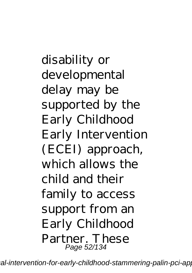disability or developmental delay may be supported by the Early Childhood Early Intervention (ECEI) approach, which allows the child and their family to access support from an Early Childhood Partner. These Page 52/134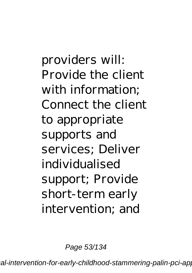providers will: Provide the client with information; Connect the client to appropriate supports and services; Deliver individualised support; Provide short-term early intervention; and

Page 53/134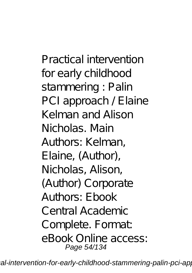Practical intervention for early childhood stammering : Palin PCI approach / Elaine Kelman and Alison Nicholas. Main Authors: Kelman, Elaine, (Author), Nicholas, Alison, (Author) Corporate Authors: Ebook Central Academic Complete. Format: eBook Online access: Page 54/134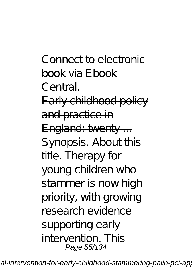Connect to electronic book via Ebook Central. Early childhood policy and practice in England: twenty ... Synopsis. About this title. Therapy for young children who stammer is now high priority, with growing research evidence supporting early intervention. This Page 55/134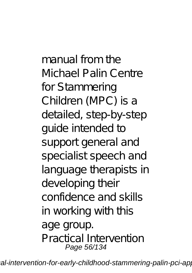manual from the Michael Palin Centre for Stammering Children (MPC) is a detailed, step-by-step guide intended to support general and specialist speech and language therapists in developing their confidence and skills in working with this age group. Practical Intervention Page 56/134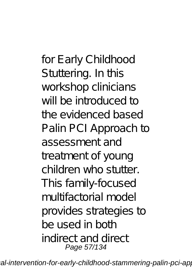for Early Childhood Stuttering. In this workshop clinicians will be introduced to the evidenced based Palin PCI Approach to assessment and treatment of young children who stutter. This family-focused multifactorial model provides strategies to be used in both indirect and direct Page 57/134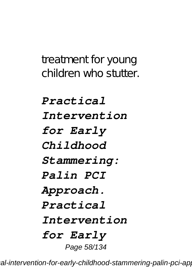treatment for young children who stutter.

*Practical Intervention for Early Childhood Stammering: Palin PCI Approach. Practical Intervention for Early* Page 58/134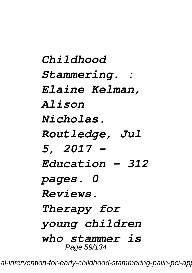*Childhood Stammering. : Elaine Kelman, Alison Nicholas. Routledge, Jul 5, 2017 - Education - 312 pages. 0 Reviews. Therapy for young children who stammer is* Page 59/134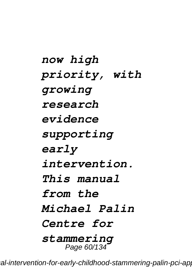*now high priority, with growing research evidence supporting early intervention. This manual from the Michael Palin Centre for stammering* Page 60/134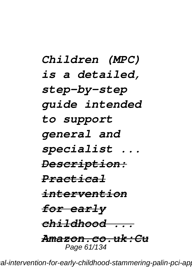*Children (MPC) is a detailed, step-by-step guide intended to support general and specialist ... Description: Practical intervention for early childhood ... Amazon.co.uk:Cu* Page 61/134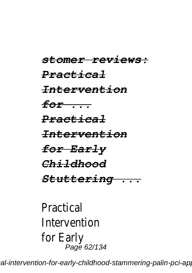*stomer reviews: Practical Intervention for ... Practical Intervention for Early Childhood Stuttering ...*

Practical Intervention for Early Page 62/134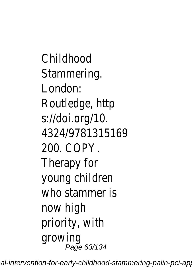Childhood Stammering. London: Routledge, http s://doi.org/10. 4324/9781315169 200. COPY. Therapy for young children who stammer is now high priority, with growing Page 63/134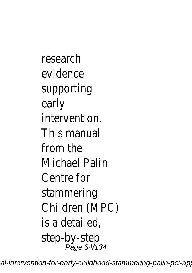research evidence supporting early intervention. This manual from the Michael Palin Centre for stammering Children (MPC) is a detailed, step-by-step Page 64/134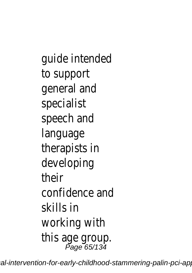guide intended to support general and specialist speech and language therapists in developing their confidence and skills in working with this age group. Page 65/134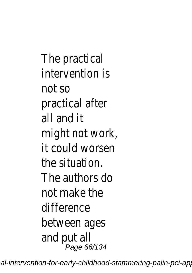The practical intervention is not so practical after all and it might not work, it could worsen the situation. The authors do not make the difference between ages and put all Page 66/134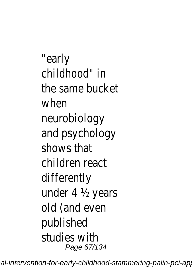"early childhood" in the same bucket when neurobiology and psychology shows that children react differently under 4 ½ years old (and even published studies with Page 67/134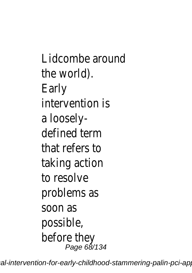Lidcombe around the world). Early intervention is a looselydefined term that refers to taking action to resolve problems as soon as possible, before they Page 68/134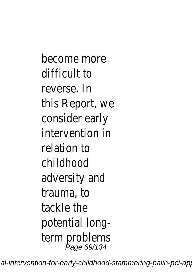become more difficult to reverse. In this Report, we consider early intervention in relation to childhood adversity and trauma, to tackle the potential longterm problems Page 69/134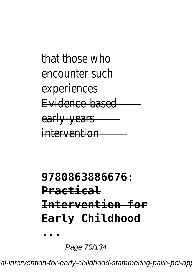## that those who encounter such experiences Evidence-based early-years intervention

## **9780863886676: Practical Intervention for Early Childhood ...**

Page 70/134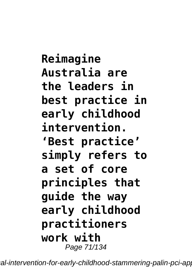**Reimagine Australia are the leaders in best practice in early childhood intervention. 'Best practice' simply refers to a set of core principles that guide the way early childhood practitioners work with** Page 71/134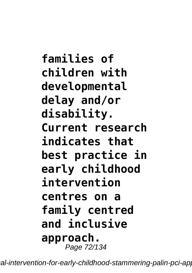**families of children with developmental delay and/or disability. Current research indicates that best practice in early childhood intervention centres on a family centred and inclusive approach.** Page 72/134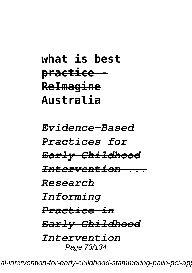## **what is best practice - ReImagine Australia**

*Evidence-Based Practices for Early Childhood Intervention ... Research Informing Practice in Early Childhood Intervention* Page 73/134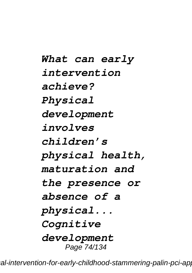*What can early intervention achieve? Physical development involves children's physical health, maturation and the presence or absence of a physical... Cognitive development* Page 74/134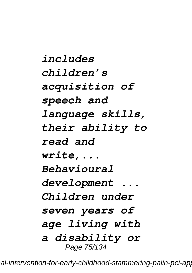*includes children's acquisition of speech and language skills, their ability to read and write,... Behavioural development ... Children under seven years of age living with a disability or* Page 75/134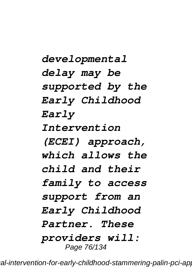*developmental delay may be supported by the Early Childhood Early Intervention (ECEI) approach, which allows the child and their family to access support from an Early Childhood Partner. These providers will:* Page 76/134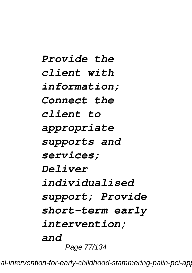*Provide the client with information; Connect the client to appropriate supports and services; Deliver individualised support; Provide short-term early intervention; and* Page 77/134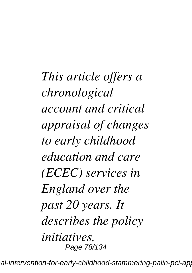*This article offers a chronological account and critical appraisal of changes to early childhood education and care (ECEC) services in England over the past 20 years. It describes the policy initiatives,* Page 78/134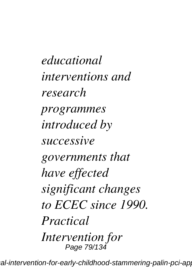*educational interventions and research programmes introduced by successive governments that have effected significant changes to ECEC since 1990. Practical Intervention for* Page 79/134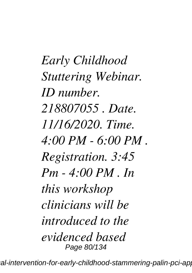*Early Childhood Stuttering Webinar. ID number. 218807055 . Date. 11/16/2020. Time. 4:00 PM - 6:00 PM . Registration. 3:45 Pm - 4:00 PM . In this workshop clinicians will be introduced to the evidenced based* Page 80/134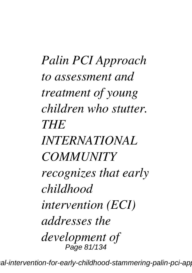*Palin PCI Approach to assessment and treatment of young children who stutter. THE INTERNATIONAL COMMUNITY recognizes that early childhood intervention (ECI) addresses the development of* Page 81/134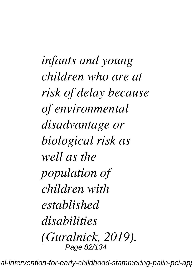*infants and young children who are at risk of delay because of environmental disadvantage or biological risk as well as the population of children with established disabilities (Guralnick, 2019).* Page 82/134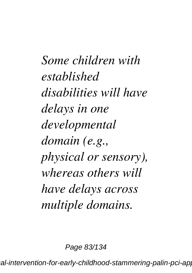*Some children with established disabilities will have delays in one developmental domain (e.g., physical or sensory), whereas others will have delays across multiple domains.*

Page 83/134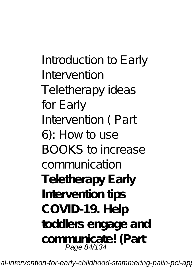*Introduction to Early Intervention Teletherapy ideas for Early Intervention ( Part 6): How to use BOOKS to increase communication* **Teletherapy Early Intervention tips COVID-19. Help toddlers engage and communicate! (Part** Page 84/134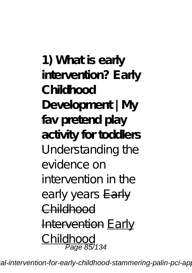**1) What is early intervention? Early Childhood Development | My fav pretend play activity for toddlers** Understanding the evidence on intervention in the early years Early Childhood Intervention Early Childhood  $\frac{111000}{P}$ age 85/134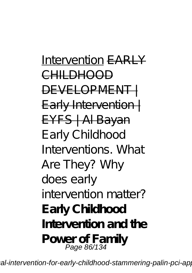Intervention EARLY CHILDHOOD DEVELOPMENT Early Intervention | EYFS | Al Bayan Early Childhood Interventions. What Are They? *Why does early intervention matter?* **Early Childhood Intervention and the** Power of Family<br>Page 86/134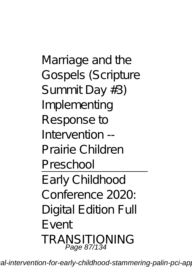Marriage and the Gospels (Scripture Summit Day #3) *Implementing Response to Intervention -- Prairie Children Preschool* Early Childhood

Conference 2020: Digital Edition Full Event *TRANSITIONING* Page 87/134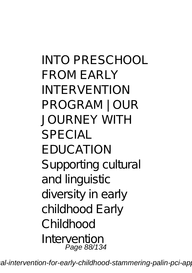*INTO PRESCHOOL FROM EARLY INTERVENTION PROGRAM | OUR JOURNEY WITH SPECIAL EDUCATION Supporting cultural and linguistic diversity in early childhood Early Childhood Intervention* Page 88/134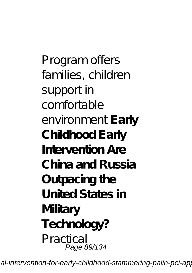*Program offers families, children support in comfortable environment* **Early Childhood Early Intervention Are China and Russia Outpacing the United States in Military Technology?** Practical Page 89/134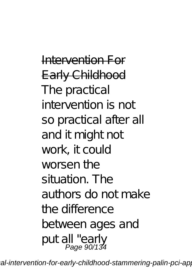Intervention For Early Childhood The practical intervention is not so practical after all and it might not work, it could worsen the situation. The authors do not make the difference between ages and put all "early Page 90/134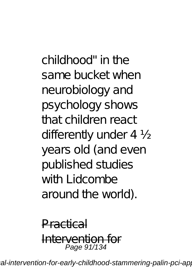childhood" in the same bucket when neurobiology and psychology shows that children react differently under 4 ½ years old (and even published studies with Lidcombe around the world).

Practical Intervention for Page 91/134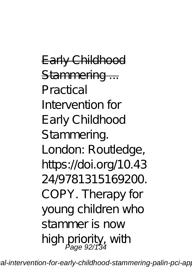Early Childhood Stammering ... Practical Intervention for Early Childhood Stammering. London: Routledge, https://doi.org/10.43 24/9781315169200. COPY. Therapy for young children who stammer is now high priority, with<br>Page 92/134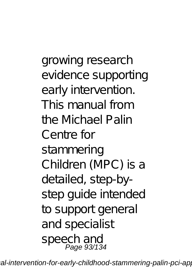growing research evidence supporting early intervention. This manual from the Michael Palin Centre for stammering Children (MPC) is a detailed, step-bystep guide intended to support general and specialist speech and Page 93/134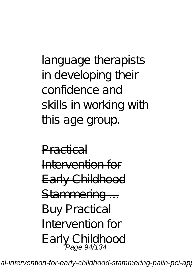language therapists in developing their confidence and skills in working with this age group.

Practical Intervention for Early Childhood Stammering ... Buy Practical Intervention for Early Childhood Page 94/134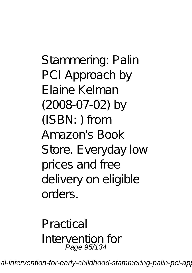Stammering: Palin PCI Approach by Elaine Kelman (2008-07-02) by (ISBN: ) from Amazon's Book Store. Everyday low prices and free delivery on eligible orders.

Practical Intervention for Page 95/134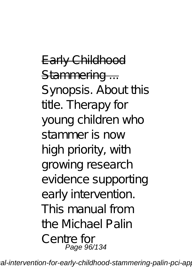Early Childhood Stammering ... Synopsis. About this title. Therapy for young children who stammer is now high priority, with growing research evidence supporting early intervention. This manual from the Michael Palin Centre for Page 96/134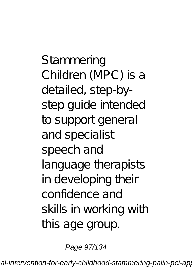Stammering Children (MPC) is a detailed, step-bystep guide intended to support general and specialist speech and language therapists in developing their confidence and skills in working with this age group.

Page 97/134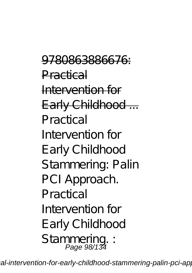9780863886676: Practical Intervention for Early Childhood ... Practical Intervention for Early Childhood Stammering: Palin PCI Approach. Practical Intervention for Early Childhood Stammering. : Page 98/134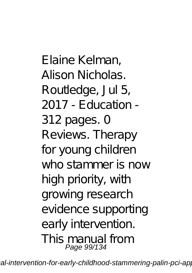Elaine Kelman, Alison Nicholas. Routledge, Jul 5, 2017 - Education - 312 pages. 0 Reviews. Therapy for young children who stammer is now high priority, with growing research evidence supporting early intervention. This manual from Page 99/134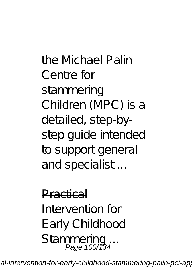the Michael Palin Centre for stammering Children (MPC) is a detailed, step-bystep guide intended to support general and specialist ...

Practical Intervention for Early Childhood Stammerin Page 100/134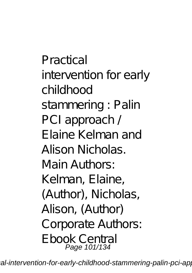Practical intervention for early childhood stammering : Palin PCI approach / Elaine Kelman and Alison Nicholas. Main Authors: Kelman, Elaine, (Author), Nicholas, Alison, (Author) Corporate Authors: Ebook Central Page 101/134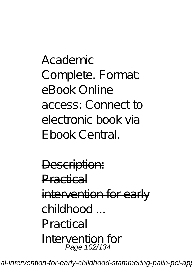Academic Complete. Format: eBook Online access: Connect to electronic book via Ebook Central.

Description: Practical intervention for early childhood ... Practical Intervention for Page 102/134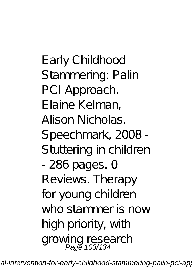Early Childhood Stammering: Palin PCI Approach. Elaine Kelman, Alison Nicholas. Speechmark, 2008 - Stuttering in children - 286 pages. 0 Reviews. Therapy for young children who stammer is now high priority, with growing research<br>Page 103/134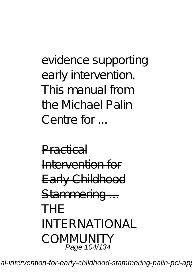evidence supporting early intervention. This manual from the Michael Palin Centre for

Practical Intervention for Early Childhood Stammering ... THE INTERNATIONAL COMMUNITY Page 104/134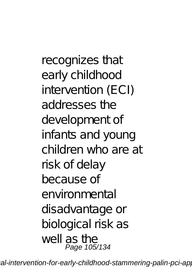recognizes that early childhood intervention (ECI) addresses the development of infants and young children who are at risk of delay because of environmental disadvantage or biological risk as well as the Page 105/134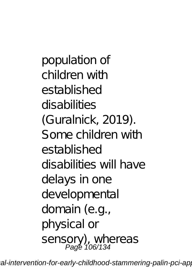population of children with established disabilities (Guralnick, 2019). Some children with established disabilities will have delays in one developmental domain (e.g., physical or sensory), whereas<br>Page 106/134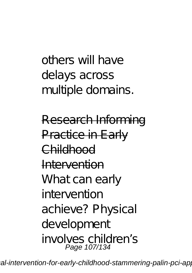## others will have delays across multiple domains.

Research Informing Practice in Early Childhood Intervention What can early intervention achieve? Physical development involves children's Page 107/134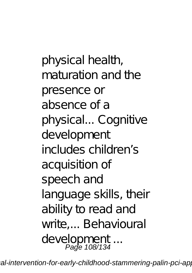physical health, maturation and the presence or absence of a physical... Cognitive development includes children's acquisition of speech and language skills, their ability to read and write,... Behavioural development ... Page 108/134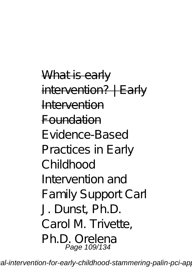What is early intervention? | Early Intervention Foundation Evidence-Based Practices in Early Childhood Intervention and Family Support Carl J. Dunst, Ph.D. Carol M. Trivette, Ph.D. Orelena Page 109/134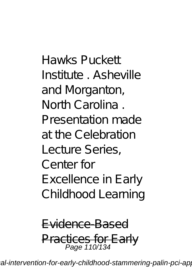Hawks Puckett Institute . Asheville and Morganton, North Carolina . Presentation made at the Celebration Lecture Series, Center for Excellence in Early Childhood Learning

Evidence-Based Practices for Early Page 110/134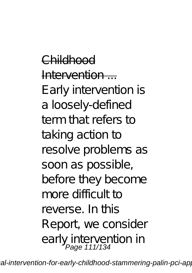Childhood  $In$ tervention  $-$ Early intervention is a loosely-defined term that refers to taking action to resolve problems as soon as possible, before they become more difficult to reverse. In this Report, we consider early intervention in<br>Page 111/134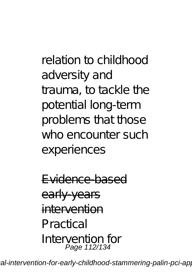relation to childhood adversity and trauma, to tackle the potential long-term problems that those who encounter such experiences

Evidence-based early-years intervention Practical Intervention for Page 112/134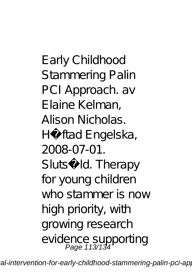Early Childhood Stammering Palin PCI Approach. av Elaine Kelman, Alison Nicholas. Häftad Engelska, 2008-07-01. Slutså Id. Therapy for young children who stammer is now high priority, with growing research evidence supporting<br>Page 113/134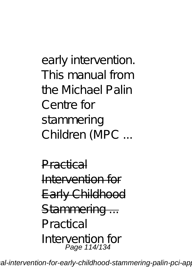early intervention. This manual from the Michael Palin Centre for stammering Children (MPC ...

Practical Intervention for Early Childhood Stammering ... Practical Intervention for Page 114/134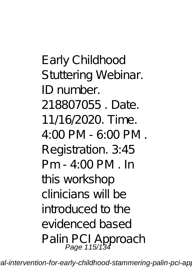Early Childhood Stuttering Webinar. ID number. 218807055 Date 11/16/2020. Time. 4:00 PM - 6:00 PM . Registration. 3:45  $Pm - 4:00 PM$  . In this workshop clinicians will be introduced to the evidenced based Palin PCI Approach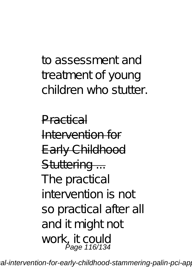## to assessment and treatment of young children who stutter.

Practical Intervention for Early Childhood Stuttering ... The practical intervention is not so practical after all and it might not work, it could Page 116/134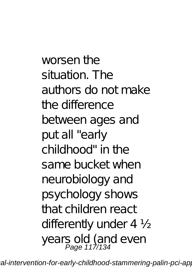worsen the situation. The authors do not make the difference between ages and put all "early childhood" in the same bucket when neurobiology and psychology shows that children react differently under 4 ½ years old (and even<br>Page 117/134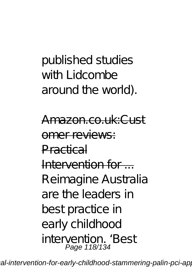# published studies with Lidcombe around the world).

Amazon.co.uk:Cust omer reviews: Practical Intervention for ... Reimagine Australia are the leaders in best practice in early childhood intervention. 'Best Page 118/134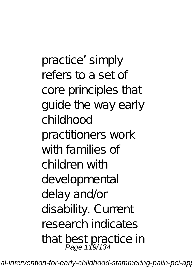practice' simply refers to a set of core principles that guide the way early childhood practitioners work with families of children with developmental delay and/or disability. Current research indicates that best practice in Page 119/134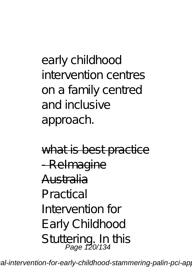early childhood intervention centres on a family centred and inclusive approach.

what is best practice - Relmagine Australia Practical Intervention for Early Childhood Stuttering. In this Page 120/134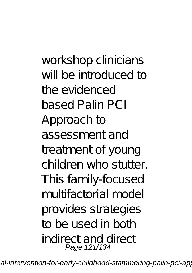workshop clinicians will be introduced to the evidenced based Palin PCI Approach to assessment and treatment of young children who stutter. This family-focused multifactorial model provides strategies to be used in both indirect and direct Page 121/134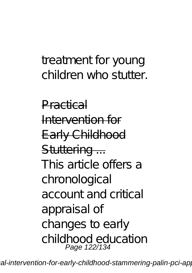### treatment for young children who stutter.

Practical Intervention for Early Childhood Stuttering ... This article offers a chronological account and critical appraisal of changes to early childhood education Page 122/134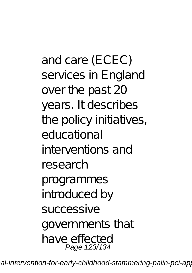and care (ECEC) services in England over the past 20 years. It describes the policy initiatives, educational interventions and research programmes introduced by successive governments that have effected Page 123/134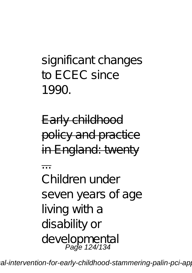# significant changes to ECEC since 1990.

Early childhood policy and practice in England: twenty

... Children under seven years of age living with a disability or developmental Page 124/134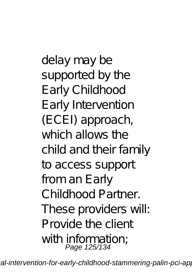delay may be supported by the Early Childhood Early Intervention (ECEI) approach, which allows the child and their family to access support from an Early Childhood Partner. These providers will: Provide the client with information; Page 125/134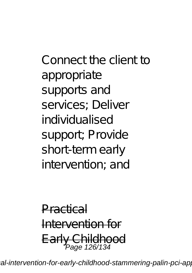Connect the client to appropriate supports and services; Deliver individualised support; Provide short-term early intervention; and

Practical Intervention for Early Childhood Page 126/134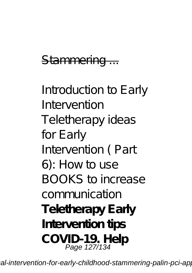#### Stammering ...

*Introduction to Early Intervention Teletherapy ideas for Early Intervention ( Part 6): How to use BOOKS to increase communication* **Teletherapy Early Intervention tips COVID-19. Help** Page 127/134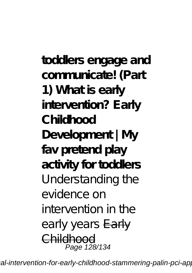**toddlers engage and communicate! (Part 1) What is early intervention? Early Childhood Development | My fav pretend play activity for toddlers** Understanding the evidence on intervention in the early years Early Childhood Page 128/134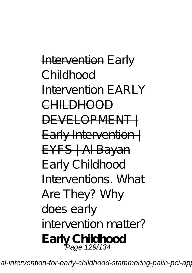Intervention Early Childhood Intervention EARLY CHILDHOOD DEVELOPMENT-Early Intervention | EYFS | Al Bayan Early Childhood Interventions. What Are They? *Why does early intervention matter?* **Early Childhood** Page 129/134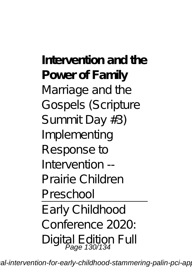**Intervention and the Power of Family** Marriage and the Gospels (Scripture Summit Day #3) *Implementing Response to Intervention -- Prairie Children Preschool* Early Childhood

Conference 2020: Digital Edition Full Page 130/134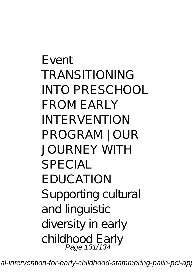Event *TRANSITIONING INTO PRESCHOOL FROM EARLY INTERVENTION PROGRAM | OUR JOURNEY WITH SPECIAL EDUCATION Supporting cultural and linguistic diversity in early childhood Early* Page 131/134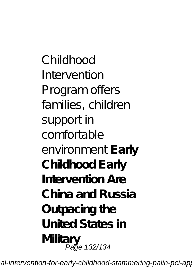*Childhood Intervention Program offers families, children support in comfortable environment* **Early Childhood Early Intervention Are China and Russia Outpacing the United States in Military** Page 132/134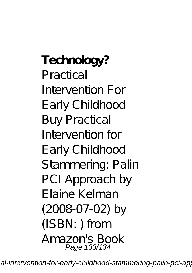**Technology?** Practical Intervention For Early Childhood Buy Practical Intervention for Early Childhood Stammering: Palin PCI Approach by Elaine Kelman (2008-07-02) by (ISBN: ) from Amazon's Book Page 133/134